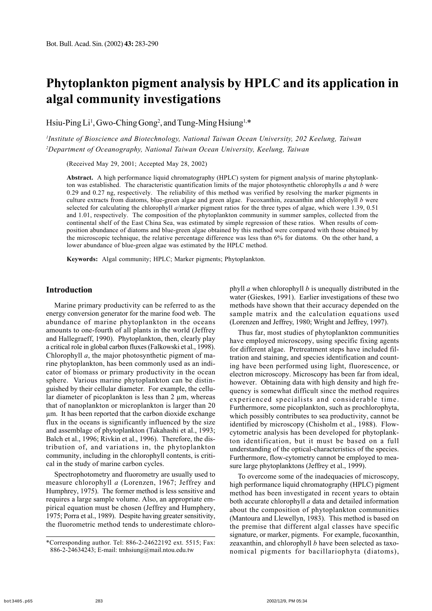# **Phytoplankton pigment analysis by HPLC and its application in algal community investigations**

Hsiu-Ping Li<sup>1</sup>, Gwo-Ching Gong<sup>2</sup>, and Tung-Ming Hsiung<sup>1,\*</sup>

*1 Institute of Bioscience and Biotechnology, National Taiwan Ocean University, 202 Keelung, Taiwan 2 Department of Oceanography, National Taiwan Ocean University, Keelung, Taiwan*

(Received May 29, 2001; Accepted May 28, 2002)

**Abstract.** A high performance liquid chromatography (HPLC) system for pigment analysis of marine phytoplankton was established. The characteristic quantification limits of the major photosynthetic chlorophylls *a* and *b* were 0.29 and 0.27 ng, respectively. The reliability of this method was verified by resolving the marker pigments in culture extracts from diatoms, blue-green algae and green algae. Fucoxanthin, zeaxanthin and chlorophyll *b* were selected for calculating the chlorophyll *a*/marker pigment ratios for the three types of algae, which were 1.39, 0.51 and 1.01, respectively. The composition of the phytoplankton community in summer samples, collected from the continental shelf of the East China Sea, was estimated by simple regression of these ratios. When results of composition abundance of diatoms and blue-green algae obtained by this method were compared with those obtained by the microscopic technique, the relative percentage difference was less than 6% for diatoms. On the other hand, a lower abundance of blue-green algae was estimated by the HPLC method.

**Keywords:** Algal community; HPLC; Marker pigments; Phytoplankton.

# **Introduction**

Marine primary productivity can be referred to as the energy conversion generator for the marine food web. The abundance of marine phytoplankton in the oceans amounts to one-fourth of all plants in the world (Jeffrey and Hallegraeff, 1990). Phytoplankton, then, clearly play a critical role in global carbon fluxes (Falkowski et al., 1998). Chlorophyll *a*, the major photosynthetic pigment of marine phytoplankton, has been commonly used as an indicator of biomass or primary productivity in the ocean sphere. Various marine phytoplankton can be distinguished by their cellular diameter. For example, the cellular diameter of picoplankton is less than  $2 \mu m$ , whereas that of nanoplankton or microplankton is larger than 20 µm. It has been reported that the carbon dioxide exchange flux in the oceans is significantly influenced by the size and assemblage of phytoplankton (Takahashi et al., 1993; Balch et al., 1996; Rivkin et al., 1996). Therefore, the distribution of, and variations in, the phytoplankton community, including in the chlorophyll contents, is critical in the study of marine carbon cycles.

Spectrophotometry and fluorometry are usually used to measure chlorophyll *a* (Lorenzen, 1967; Jeffrey and Humphrey, 1975). The former method is less sensitive and requires a large sample volume. Also, an appropriate empirical equation must be chosen (Jeffrey and Humphery, 1975; Porra et al., 1989). Despite having greater sensitivity, the fluorometric method tends to underestimate chlorophyll *a* when chlorophyll *b* is unequally distributed in the water (Gieskes, 1991). Earlier investigations of these two methods have shown that their accuracy depended on the sample matrix and the calculation equations used (Lorenzen and Jeffrey, 1980; Wright and Jeffrey, 1997).

Thus far, most studies of phytoplankton communities have employed microscopy, using specific fixing agents for different algae. Pretreatment steps have included filtration and staining, and species identification and counting have been performed using light, fluorescence, or electron microscopy. Microscopy has been far from ideal, however. Obtaining data with high density and high frequency is somewhat difficult since the method requires experienced specialists and considerable time. Furthermore, some picoplankton, such as prochlorophyta, which possibly contributes to sea productivity, cannot be identified by microscopy (Chisholm et al., 1988). Flowcytometric analysis has been developed for phytoplankton identification, but it must be based on a full understanding of the optical-characteristics of the species. Furthermore, flow-cytometry cannot be employed to measure large phytoplanktons (Jeffrey et al., 1999).

To overcome some of the inadequacies of microscopy, high performance liquid chromatography (HPLC) pigment method has been investigated in recent years to obtain both accurate chlorophyll *a* data and detailed information about the composition of phytoplankton communities (Mantoura and Llewellyn, 1983). This method is based on the premise that different algal classes have specific signature, or marker, pigments. For example, fucoxanthin, zeaxanthin, and chlorophyll *b* have been selected as taxonomical pigments for bacillariophyta (diatoms),

<sup>\*</sup>Corresponding author. Tel: 886-2-24622192 ext. 5515; Fax: 886-2-24634243; E-mail: tmhsiung@mail.ntou.edu.tw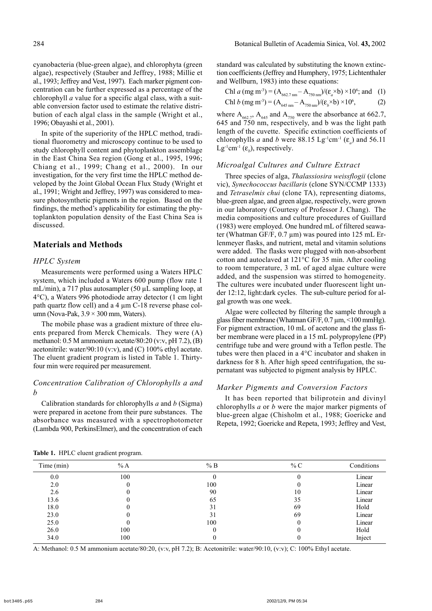cyanobacteria (blue-green algae), and chlorophyta (green algae), respectively (Stauber and Jeffrey, 1988; Millie et al., 1993; Jeffrey and Vest, 1997). Each marker pigment concentration can be further expressed as a percentage of the chlorophyll *a* value for a specific algal class, with a suitable conversion factor used to estimate the relative distribution of each algal class in the sample (Wright et al., 1996; Obayashi et al., 2001).

In spite of the superiority of the HPLC method, traditional fluorometry and microscopy continue to be used to study chlorophyll content and phytoplankton assemblage in the East China Sea region (Gong et al., 1995, 1996; Chiang et al., 1999; Chang et al., 2000). In our investigation, for the very first time the HPLC method developed by the Joint Global Ocean Flux Study (Wright et al., 1991; Wright and Jeffrey, 1997) was considered to measure photosynthetic pigments in the region. Based on the findings, the method's applicability for estimating the phytoplankton population density of the East China Sea is discussed.

### **Materials and Methods**

#### *HPLC System*

Measurements were performed using a Waters HPLC system, which included a Waters 600 pump (flow rate 1 mL/min), a 717 plus autosampler (50  $\mu$ L sampling loop, at 4°C), a Waters 996 photodiode array detector (1 cm light path quartz flow cell) and a 4 µm C-18 reverse phase column (Nova-Pak,  $3.9 \times 300$  mm, Waters).

The mobile phase was a gradient mixture of three eluents prepared from Merck Chemicals. They were (A) methanol: 0.5 M ammonium acetate/80:20 (v:v, pH 7.2), (B) acetonitrile: water/90:10 (v:v), and (C) 100% ethyl acetate. The eluent gradient program is listed in Table 1. Thirtyfour min were required per measurement.

# *Concentration Calibration of Chlorophylls a and b*

Calibration standards for chlorophylls *a* and *b* (Sigma) were prepared in acetone from their pure substances. The absorbance was measured with a spectrophotometer (Lambda 900, PerkinsElmer), and the concentration of each standard was calculated by substituting the known extinction coefficients (Jeffrey and Humphery, 1975; Lichtenthaler and Wellburn, 1983) into these equations:

Chl *a* (mg m<sup>-3</sup>) = 
$$
(A_{662.7 \text{ nm}} - A_{750 \text{ nm}}) / (\varepsilon_a \times b) \times 10^6
$$
; and (1)  
Chl *b* (mg m<sup>-3</sup>) =  $(A_{645 \text{ nm}} - A_{750 \text{ nm}}) / (\varepsilon_b \times b) \times 10^6$ , (2)

where  $A_{662,7}$ ,  $A_{645}$  and  $A_{750}$  were the absorbance at 662.7, 645 and 750 nm, respectively, and b was the light path length of the cuvette. Specific extinction coefficients of chlorophylls *a* and *b* were 88.15 Lg<sup>-1</sup>cm<sup>-1</sup> ( $\varepsilon_a$ ) and 56.11  $Lg^{-1}cm^{-1}$  ( $\varepsilon_b$ ), respectively.

#### *Microalgal Cultures and Culture Extract*

Three species of alga, *Thalassiosira weissflogii* (clone vic), *Synechococcus bacillaris* (clone SYN/CCMP 1333) and *Tetraselmis chui* (clone TA), representing diatoms, blue-green algae, and green algae, respectively, were grown in our laboratory (Courtesy of Professor J. Chang). The media compositions and culture procedures of Guillard (1983) were employed. One hundred mL of filtered seawater (Whatman GF/F, 0.7 µm) was poured into 125 mL Erlenmeyer flasks, and nutrient, metal and vitamin solutions were added. The flasks were plugged with non-absorbent cotton and autoclaved at 121°C for 35 min. After cooling to room temperature, 3 mL of aged algae culture were added, and the suspension was stirred to homogeneity. The cultures were incubated under fluorescent light under 12:12, light:dark cycles. The sub-culture period for algal growth was one week.

Algae were collected by filtering the sample through a glass fiber membrane (Whatman GF/F, 0.7 µm, <100 mmHg). For pigment extraction, 10 mL of acetone and the glass fiber membrane were placed in a 15 mL polypropylene (PP) centrifuge tube and were ground with a Teflon pestle. The tubes were then placed in a 4°C incubator and shaken in darkness for 8 h. After high speed centrifugation, the supernatant was subjected to pigment analysis by HPLC.

#### *Marker Pigments and Conversion Factors*

It has been reported that biliprotein and divinyl chlorophylls *a* or *b* were the major marker pigments of blue-green algae (Chisholm et al., 1988; Goericke and Repeta, 1992; Goericke and Repeta, 1993; Jeffrey and Vest,

| Time (min) | %A  | % B | % C | Conditions |
|------------|-----|-----|-----|------------|
| 0.0        | 100 |     |     | Linear     |
| 2.0        |     | 100 |     | Linear     |
| 2.6        |     | 90  | 10  | Linear     |
| 13.6       |     | 65  | 35  | Linear     |
| 18.0       |     | 31  | 69  | Hold       |
| 23.0       |     | 31  | 69  | Linear     |
| 25.0       |     | 100 |     | Linear     |
| 26.0       | 100 |     |     | Hold       |
| 34.0       | 100 |     |     | Inject     |

**Table 1.** HPLC eluent gradient program.

A: Methanol: 0.5 M ammonium acetate/80:20, (v:v, pH 7.2); B: Acetonitrile: water/90:10, (v:v); C: 100% Ethyl acetate.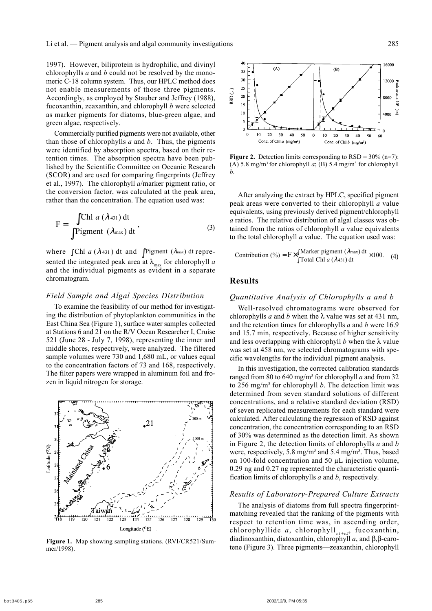1997). However, biliprotein is hydrophilic, and divinyl chlorophylls *a* and *b* could not be resolved by the monomeric C-18 column system. Thus, our HPLC method does not enable measurements of those three pigments. Accordingly, as employed by Stauber and Jeffrey (1988), fucoxanthin, zeaxanthin, and chlorophyll *b* were selected as marker pigments for diatoms, blue-green algae, and green algae, respectively.

Commercially purified pigments were not available, other than those of chlorophylls *a* and *b*. Thus, the pigments were identified by absorption spectra, based on their retention times. The absorption spectra have been published by the Scientific Committee on Oceanic Research (SCOR) and are used for comparing fingerprints (Jeffrey et al., 1997). The chlorophyll *a*/marker pigment ratio, or the conversion factor, was calculated at the peak area, rather than the concentration. The equation used was:

$$
F = \frac{\int Chl \ a \ (\lambda_{431}) \ dt}{\int Pigment \ (\lambda_{max}) \ dt},
$$
 (3)

where  $\int$ Chl *a* ( $\lambda$  431) dt and  $\int$  Pigment ( $\lambda$ <sub>max</sub>) dt represented the integrated peak area at  $\lambda_{\text{max}}$  for chlorophyll *a* and the individual pigments as evident in a separate chromatogram.

#### *Field Sample and Algal Species Distribution*

To examine the feasibility of our method for investigating the distribution of phytoplankton communities in the East China Sea (Figure 1), surface water samples collected at Stations 6 and 21 on the R/V Ocean Researcher I, Cruise 521 (June 28 - July 7, 1998), representing the inner and middle shores, respectively, were analyzed. The filtered sample volumes were 730 and 1,680 mL, or values equal to the concentration factors of 73 and 168, respectively. The filter papers were wrapped in aluminum foil and frozen in liquid nitrogen for storage.



mer/1998).



**Figure 2.** Detection limits corresponding to  $RSD = 30\%$  (n=7): (A)  $5.8 \text{ mg/m}^3$  for chlorophyll *a*; (B)  $5.4 \text{ mg/m}^3$  for chlorophyll *b*.

After analyzing the extract by HPLC, specified pigment peak areas were converted to their chlorophyll *a* value equivalents, using previously derived pigment/chlorophyll *a* ratios. The relative distribution of algal classes was obtained from the ratios of chlorophyll *a* value equivalents to the total chlorophyll *a* value. The equation used was:

$$
Contribution (%) = F \times \int \frac{\text{Market pigment } (\lambda_{\text{max}}) dt}{\text{Total Chl } a (\lambda_{431}) dt} \times 100. \quad (4)
$$

# **Results**

# *Quantitative Analysis of Chlorophylls a and b*

Well-resolved chromatograms were observed for chlorophylls *a* and *b* when the  $\lambda$  value was set at 431 nm, and the retention times for chlorophylls *a* and *b* were 16.9 and 15.7 min, respectively. Because of higher sensitivity and less overlapping with chlorophyll *b* when the  $\lambda$  value was set at 458 nm, we selected chromatograms with specific wavelengths for the individual pigment analysis.

In this investigation, the corrected calibration standards ranged from 80 to 640 mg/m3 for chlorophyll *a* and from 32 to 256 mg/m3 for chlorophyll *b*. The detection limit was determined from seven standard solutions of different concentrations, and a relative standard deviation (RSD) of seven replicated measurements for each standard were calculated. After calculating the regression of RSD against concentration, the concentration corresponding to an RSD of 30% was determined as the detection limit. As shown in Figure 2, the detection limits of chlorophylls *a* and *b* were, respectively, 5.8 mg/m<sup>3</sup> and 5.4 mg/m<sup>3</sup>. Thus, based on 100-fold concentration and 50 µL injection volume, 0.29 ng and 0.27 ng represented the characteristic quantification limits of chlorophylls *a* and *b*, respectively.

#### *Results of Laboratory-Prepared Culture Extracts*

The analysis of diatoms from full spectra fingerprintmatching revealed that the ranking of the pigments with respect to retention time was, in ascending order, chlorophyllide *a*, chlorophyll<sub>cl+c2</sub>, fucoxanthin, diadinoxanthin, diatoxanthin, chlorophyll  $a$ , and  $\beta$ , $\beta$ -caro-Figure 1. Map showing sampling stations. (RVI/CR521/Sum-<br>mer/1998) tene (Figure 3). Three pigments—zeaxanthin, chlorophyll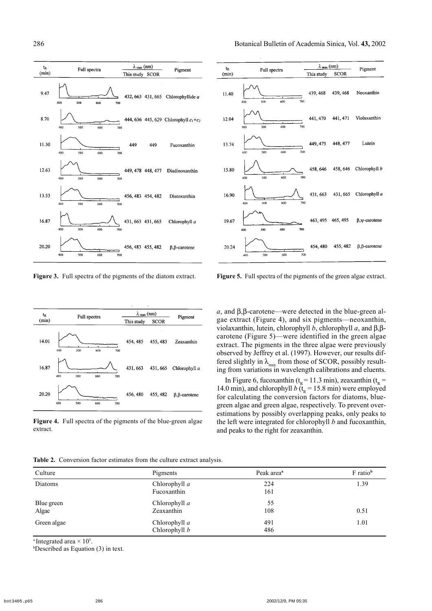Pigment

Lutein



**Figure 3.** Full spectra of the pigments of the diatom extract.

Figure 5. Full spectra of the pigments of the green algae extract.

| $t_{R}$ | Full spectra             | $\lambda$ <sub>max</sub> (nm) | Pigment     |                   |
|---------|--------------------------|-------------------------------|-------------|-------------------|
| (min)   |                          | This study                    | <b>SCOR</b> |                   |
| 14.01   | 400<br>500<br>600<br>700 | 454, 485                      | 455, 483    | Zeaxanthin        |
| 16.87   | 400<br>500<br>600<br>700 | 431, 663                      | 431, 665    | Chlorophyll a     |
| 20.20   | 400<br>500<br>600<br>700 | 456, 480                      | 455, 482    | $\beta$ -carotene |

**Figure 4.** Full spectra of the pigments of the blue-green algae extract.

 $a$ , and  $\beta$ , $\beta$ -carotene—were detected in the blue-green algae extract (Figure 4), and six pigments—neoxanthin, violaxanthin, lutein, chlorophyll *b*, chlorophyll *a*, and  $\beta$ ,  $\beta$ carotene (Figure 5)—were identified in the green algae extract. The pigments in the three algae were previously observed by Jeffrey et al. (1997). However, our results differed slightly in  $\lambda_{\text{max}}$  from those of SCOR, possibly resulting from variations in wavelength calibrations and eluents.

In Figure 6, fucoxanthin ( $t<sub>R</sub> = 11.3$  min), zeaxanthin ( $t<sub>R</sub> =$ 14.0 min), and chlorophyll *b* ( $t<sub>R</sub> = 15.8$  min) were employed for calculating the conversion factors for diatoms, bluegreen algae and green algae, respectively. To prevent overestimations by possibly overlapping peaks, only peaks to the left were integrated for chlorophyll *b* and fucoxanthin, and peaks to the right for zeaxanthin.

|  | Table 2. Conversion factor estimates from the culture extract analysis. |  |  |  |  |  |  |  |  |
|--|-------------------------------------------------------------------------|--|--|--|--|--|--|--|--|
|--|-------------------------------------------------------------------------|--|--|--|--|--|--|--|--|

| Culture             | Pigments                         | Peak area <sup>a</sup> | F ratio <sup>b</sup> |
|---------------------|----------------------------------|------------------------|----------------------|
| Diatoms             | Chlorophyll a<br>Fucoxanthin     | 224<br>161             | 1.39                 |
| Blue green<br>Algae | Chlorophyll a<br>Zeaxanthin      | 55<br>108              | 0.51                 |
| Green algae         | Chlorophyll $a$<br>Chlorophyll b | 491<br>486             | 1.01                 |

<sup>a</sup> Integrated area  $\times$  10<sup>5</sup>.

b Described as Equation (3) in text.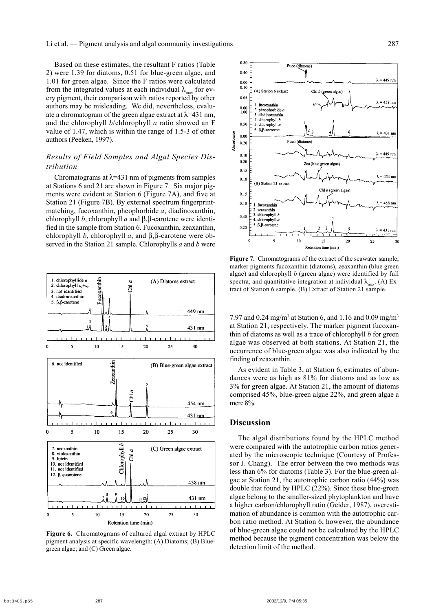Based on these estimates, the resultant F ratios (Table 2) were 1.39 for diatoms, 0.51 for blue-green algae, and 1.01 for green algae. Since the F ratios were calculated from the integrated values at each individual  $\lambda_{\text{max}}$  for every pigment, their comparison with ratios reported by other authors may be misleading. We did, nevertheless, evaluate a chromatogram of the green algae extract at  $\lambda$ =431 nm, and the chlorophyll *b*/chlorophyll *a* ratio showed an F value of 1.47, which is within the range of 1.5-3 of other authors (Peeken, 1997).

# *Results of Field Samples and Algal Species Distribution*

Chromatograms at  $\lambda$ =431 nm of pigments from samples at Stations 6 and 21 are shown in Figure 7. Six major pigments were evident at Station 6 (Figure 7A), and five at Station 21 (Figure 7B). By external spectrum fingerprintmatching, fucoxanthin, pheophorbide *a*, diadinoxanthin, chlorophyll *b*, chlorophyll *a* and  $\beta$ , $\beta$ -carotene were identified in the sample from Station 6. Fucoxanthin, zeaxanthin, chlorophyll *b*, chlorophyll *a*, and  $\beta$ ,  $\beta$ -carotene were observed in the Station 21 sample. Chlorophylls *a* and *b* were



**Figure 6.** Chromatograms of cultured algal extract by HPLC pigment analysis at specific wavelength: (A) Diatoms; (B) Bluegreen algae; and (C) Green algae.



**Figure 7.** Chromatograms of the extract of the seawater sample, marker pigments fucoxanthin (diatoms), zeaxanthin (blue green algae) and chlorophyll *b* (green algae) were identified by full spectra, and quantitative integration at individual  $\lambda_{\text{max}}$ . (A) Extract of Station 6 sample. (B) Extract of Station 21 sample.

7.97 and 0.24 mg/m<sup>3</sup> at Station 6, and 1.16 and 0.09 mg/m<sup>3</sup> at Station 21, respectively. The marker pigment fucoxanthin of diatoms as well as a trace of chlorophyll *b* for green algae was observed at both stations. At Station 21, the occurrence of blue-green algae was also indicated by the finding of zeaxanthin.

As evident in Table 3, at Station 6, estimates of abundances were as high as 81% for diatoms and as low as 3% for green algae. At Station 21, the amount of diatoms comprised 45%, blue-green algae 22%, and green algae a mere 8%.

#### **Discussion**

The algal distributions found by the HPLC method were compared with the autotrophic carbon ratios generated by the microscopic technique (Courtesy of Professor J. Chang). The error between the two methods was less than 6% for diatoms (Table 3). For the blue-green algae at Station 21, the autotrophic carbon ratio (44%) was double that found by HPLC (22%). Since these blue-green algae belong to the smaller-sized phytoplankton and have a higher carbon/chlorophyll ratio (Geider, 1987), overestimation of abundance is common with the autotrophic carbon ratio method. At Station 6, however, the abundance of blue-green algae could not be calculated by the HPLC method because the pigment concentration was below the detection limit of the method.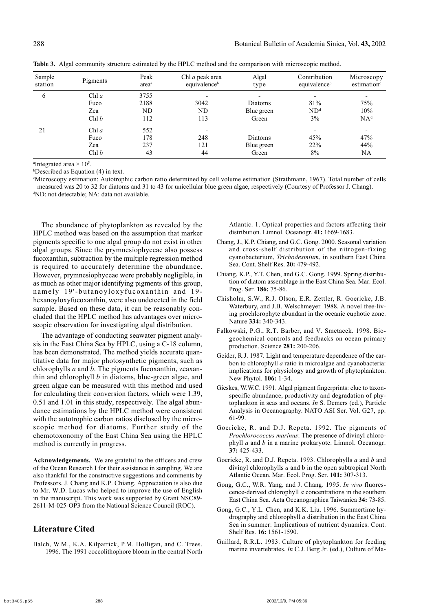| Sample<br>station | Pigments | Peak<br>area <sup>a</sup> | Chl <i>a</i> peak area<br>equivalence <sup>b</sup> | Algal<br>type | Contribution<br>equivalence <sup>b</sup> | Microscopy<br>estimation <sup>c</sup> |
|-------------------|----------|---------------------------|----------------------------------------------------|---------------|------------------------------------------|---------------------------------------|
| 6                 | Chl a    | 3755                      |                                                    |               | ٠                                        |                                       |
|                   | Fuco     | 2188                      | 3042                                               | Diatoms       | 81%                                      | 75%                                   |
|                   | Zea      | ND                        | ND                                                 | Blue green    | ND <sup>d</sup>                          | 10%                                   |
|                   | Chl b    | 112                       | 113                                                | Green         | 3%                                       | NA <sup>d</sup>                       |
| 21                | Chl $a$  | 552                       |                                                    |               | $\overline{\phantom{0}}$                 | $\overline{\phantom{a}}$              |
|                   | Fuco     | 178                       | 248                                                | Diatoms       | 45%                                      | 47%                                   |
|                   | Zea      | 237                       | 121                                                | Blue green    | 22%                                      | 44%                                   |
|                   | Chl b    | 43                        | 44                                                 | Green         | 8%                                       | NA                                    |

**Table 3.** Algal community structure estimated by the HPLC method and the comparison with microscopic method.

<sup>a</sup>Integrated area  $\times$  10<sup>5</sup>.

b Described as Equation (4) in text.

c Microscopy estimation: Autotrophic carbon ratio determined by cell volume estimation (Strathmann, 1967). Total number of cells measured was 20 to 32 for diatoms and 31 to 43 for unicellular blue green algae, respectively (Courtesy of Professor J. Chang). d ND: not detectable; NA: data not available.

The abundance of phytoplankton as revealed by the HPLC method was based on the assumption that marker pigments specific to one algal group do not exist in other algal groups. Since the prymnesiophyceae also possess fucoxanthin, subtraction by the multiple regression method is required to accurately determine the abundance. However, prymnesiophyceae were probably negligible, in as much as other major identifying pigments of this group, namely 19'-butanoyloxyfucoxanthin and 19 hexanoyloxyfucoxanthin, were also undetected in the field sample. Based on these data, it can be reasonably concluded that the HPLC method has advantages over microscopic observation for investigating algal distribution.

The advantage of conducting seawater pigment analysis in the East China Sea by HPLC, using a C-18 column, has been demonstrated. The method yields accurate quantitative data for major photosynthetic pigments, such as chlorophylls *a* and *b*. The pigments fucoxanthin, zeaxanthin and chlorophyll *b* in diatoms, blue-green algae, and green algae can be measured with this method and used for calculating their conversion factors, which were 1.39, 0.51 and 1.01 in this study, respectively. The algal abundance estimations by the HPLC method were consistent with the autotrophic carbon ratios disclosed by the microscopic method for diatoms. Further study of the chemotoxonomy of the East China Sea using the HPLC method is currently in progress.

**Acknowledgements.** We are grateful to the officers and crew of the Ocean Research I for their assistance in sampling. We are also thankful for the constructive suggestions and comments by Professors. J. Chang and K.P. Chiang. Appreciation is also due to Mr. W.D. Lucas who helped to improve the use of English in the manuscript. This work was supported by Grant NSC89- 2611-M-025-OP3 from the National Science Council (ROC).

# **Literature Cited**

Balch, W.M., K.A. Kilpatrick, P.M. Holligan, and C. Trees. 1996. The 1991 coccolithophore bloom in the central North Atlantic. 1. Optical properties and factors affecting their distribution. Limnol. Oceanogr. **41:** 1669-1683.

- Chang, J., K.P. Chiang, and G.C. Gong. 2000. Seasonal variation and cross-shelf distribution of the nitrogen-fixing cyanobacterium, *Trichodesmium*, in southern East China Sea. Cont. Shelf Res. **20:** 479-492.
- Chiang, K.P., Y.T. Chen, and G.C. Gong. 1999. Spring distribution of diatom assemblage in the East China Sea. Mar. Ecol. Prog. Ser. **186:** 75-86.
- Chisholm, S.W., R.J. Olson, E.R. Zettler, R. Goericke, J.B. Waterbury, and J.B. Welschmeyer. 1988. A novel free-living prochlorophyte abundant in the oceanic euphotic zone. Nature **334:** 340-343.
- Falkowski, P.G., R.T. Barber, and V. Smetacek. 1998. Biogeochemical controls and feedbacks on ocean primary production. Science **281:** 200-206.
- Geider, R.J. 1987. Light and temperature dependence of the carbon to chlorophyll *a* ratio in microalgae and cyanobacteria: implications for physiology and growth of phytoplankton. New Phytol. **106:** 1-34.
- Gieskes, W.W.C. 1991. Algal pigment fingerprints: clue to taxonspecific abundance, productivity and degradation of phytoplankton in seas and oceans. *In* S. Demers (ed.), Particle Analysis in Oceanography. NATO ASI Ser. Vol. G27, pp. 61-99.
- Goericke, R. and D.J. Repeta. 1992. The pigments of *Prochlorococcus marinus*: The presence of divinyl chlorophyll *a* and *b* in a marine prokaryote. Limnol. Oceanogr. **37:** 425-433.
- Goericke, R. and D.J. Repeta. 1993. Chlorophylls *a* and *b* and divinyl chlorophylls *a* and b in the open subtropical North Atlantic Ocean. Mar. Ecol. Prog. Ser. **101:** 307-313.
- Gong, G.C., W.R. Yang, and J. Chang. 1995. *In vivo* fluorescence-derived chlorophyll *a* concentrations in the southern East China Sea. Acta Oceanographica Taiwanica **34:** 73-85.
- Gong, G.C., Y.L. Chen, and K.K. Liu. 1996. Summertime hydrography and chlorophyll *a* distribution in the East China Sea in summer: Implications of nutrient dynamics. Cont. Shelf Res. **16:** 1561-1590.
- Guillard, R.R.L. 1983. Culture of phytoplankton for feeding marine invertebrates. *In* C.J. Berg Jr. (ed.), Culture of Ma-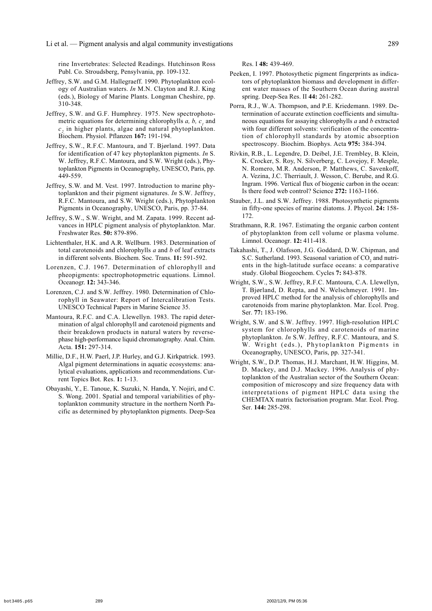rine Invertebrates: Selected Readings. Hutchinson Ross Publ. Co. Stroudsberg, Pensylvania, pp. 109-132.

- Jeffrey, S.W. and G.M. Hallegraeff. 1990. Phytoplankton ecology of Australian waters. *In* M.N. Clayton and R.J. King (eds.), Biology of Marine Plants. Longman Cheshire, pp. 310-348.
- Jeffrey, S.W. and G.F. Humphrey. 1975. New spectrophotometric equations for determining chlorophylls  $a, b, c<sub>1</sub>$  and  $c<sub>2</sub>$  in higher plants, algae and natural phytoplankton. Biochem. Physiol. Pflanzen **167:** 191-194.
- Jeffrey, S.W., R.F.C. Mantoura, and T. Bjørland. 1997. Data for identification of 47 key phytoplankton pigments. *In* S. W. Jeffrey, R.F.C. Mantoura, and S.W. Wright (eds.), Phytoplankton Pigments in Oceanography, UNESCO, Paris, pp. 449-559.
- Jeffrey, S.W. and M. Vest. 1997. Introduction to marine phytoplankton and their pigment signatures. *In* S.W. Jeffrey, R.F.C. Mantoura, and S.W. Wright (eds.), Phytoplankton Pigments in Oceanography, UNESCO, Paris, pp. 37-84.
- Jeffrey, S.W., S.W. Wright, and M. Zapata. 1999. Recent advances in HPLC pigment analysis of phytoplankton. Mar. Freshwater Res. **50:** 879-896.
- Lichtenthaler, H.K. and A.R. Wellburn. 1983. Determination of total carotenoids and chlorophylls *a* and *b* of leaf extracts in different solvents. Biochem. Soc. Trans. **11:** 591-592.
- Lorenzen, C.J. 1967. Determination of chlorophyll and pheopigments: spectrophotopmetric equations. Limnol. Oceanogr. **12:** 343-346.
- Lorenzen, C.J. and S.W. Jeffrey. 1980. Determination of Chlorophyll in Seawater: Report of Intercalibration Tests. UNESCO Technical Papers in Marine Science 35.
- Mantoura, R.F.C. and C.A. Llewellyn. 1983. The rapid determination of algal chlorophyll and carotenoid pigments and their breakdown products in natural waters by reversephase high-performance liquid chromatography. Anal. Chim. Acta. **151:** 297-314.
- Millie, D.F., H.W. Paerl, J.P. Hurley, and G.J. Kirkpatrick. 1993. Algal pigment determinations in aquatic ecosystems: analytical evaluations, applications and recommendations. Current Topics Bot. Res. **1:** 1-13.
- Obayashi, Y., E. Tanoue, K. Suzuki, N. Handa, Y. Nojiri, and C. S. Wong. 2001. Spatial and temporal variabilities of phytoplankton community structure in the northern North Pacific as determined by phytoplankton pigments. Deep-Sea

Res. I **48:** 439-469.

- Peeken, I. 1997. Photosythetic pigment fingerprints as indicators of phytoplankton biomass and development in different water masses of the Southern Ocean during austral spring. Deep-Sea Res. II **44:** 261-282.
- Porra, R.J., W.A. Thompson, and P.E. Kriedemann. 1989. Determination of accurate extinction coefficients and simultaneous equations for assaying chlorophylls *a* and *b* extracted with four different solvents: verification of the concentration of chlorophyll standards by atomic absorption spectroscopy. Biochim. Biophys. Acta **975:** 384-394.
- Rivkin, R.B., L. Legendre, D. Deibel, J.E. Trembley, B. Klein, K. Crocker, S. Roy, N. Silverberg, C. Lovejoy, F. Mesple, N. Romero, M.R. Anderson, P. Matthews, C. Savenkoff, A. Vezina, J.C. Therriault, J. Wesson, C. Berube, and R.G. Ingram. 1996. Vertical flux of biogenic carbon in the ocean: Is there food web control? Science **272:** 1163-1166.
- Stauber, J.L. and S.W. Jeffrey. 1988. Photosynthetic pigments in fifty-one species of marine diatoms. J. Phycol. **24:** 158- 172.
- Strathmann, R.R. 1967. Estimating the organic carbon content of phytoplankton from cell volume or plasma volume. Limnol. Oceanogr. **12:** 411-418.
- Takahashi, T., J. Olafsson, J.G. Goddard, D.W. Chipman, and S.C. Sutherland. 1993. Seasonal variation of  $CO<sub>2</sub>$  and nutrients in the high-latitude surface oceans: a comparative study. Global Biogeochem. Cycles **7:** 843-878.
- Wright, S.W., S.W. Jeffrey, R.F.C. Mantoura, C.A. Llewellyn, T. Bjørland, D. Repta, and N. Welschmeyer. 1991. Improved HPLC method for the analysis of chlorophylls and carotenoids from marine phytoplankton. Mar. Ecol. Prog. Ser. **77:** 183-196.
- Wright, S.W. and S.W. Jeffrey. 1997. High-resolution HPLC system for chlorophylls and carotenoids of marine phytoplankton. *In* S.W. Jeffrey, R.F.C. Mantoura, and S. W. Wright (eds.), Phytoplankton Pigments in Oceanography, UNESCO, Paris, pp. 327-341.
- Wright, S.W., D.P. Thomas, H.J. Marchant, H.W. Higgins, M. D. Mackey, and D.J. Mackey. 1996. Analysis of phytoplankton of the Australian sector of the Southern Ocean: composition of microscopy and size frequency data with interpretations of pigment HPLC data using the CHEMTAX matrix factorisation program. Mar. Ecol. Prog. Ser. **144:** 285-298.